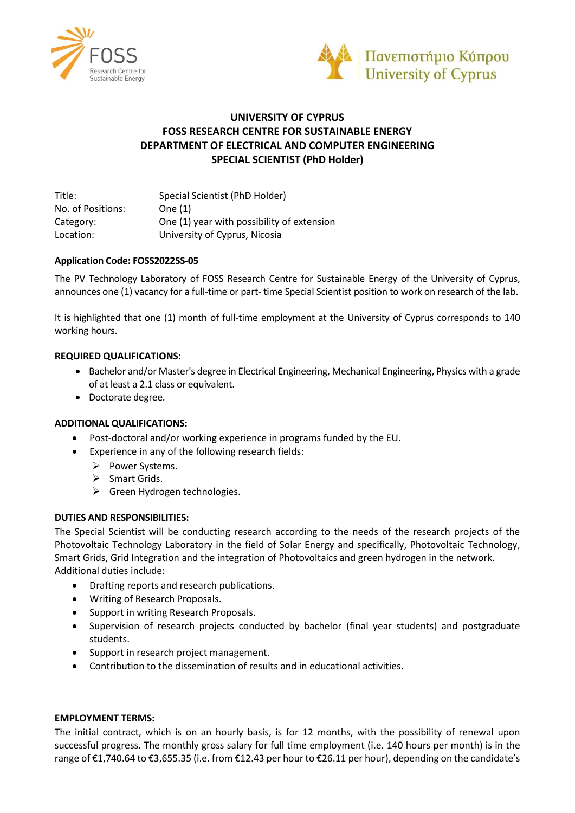



# **UNIVERSITY OF CYPRUS FOSS RESEARCH CENTRE FOR SUSTAINABLE ENERGY DEPARTMENT OF ELECTRICAL AND COMPUTER ENGINEERING SPECIAL SCIENTIST (PhD Holder)**

Title: Special Scientist (PhD Holder) No. of Positions: One (1) Category: One (1) year with possibility of extension Location: University of Cyprus, Nicosia

# **Application Code: FOSS2022SS-05**

The PV Technology Laboratory of FOSS Research Centre for Sustainable Energy of the University of Cyprus, announces one (1) vacancy for a full-time or part- time Special Scientist position to work on research of the lab.

It is highlighted that one (1) month of full-time employment at the University of Cyprus corresponds to 140 working hours.

# **REQUIRED QUALIFICATIONS:**

- Bachelor and/or Master's degree in Electrical Engineering, Mechanical Engineering, Physics with a grade of at least a 2.1 class or equivalent.
- Doctorate degree.

### **ADDITIONAL QUALIFICATIONS:**

- Post-doctoral and/or working experience in programs funded by the EU.
- Experience in any of the following research fields:
	- ➢ Power Systems.
	- ➢ Smart Grids.
	- ➢ Green Hydrogen technologies.

### **DUTIES AND RESPONSIBILITIES:**

The Special Scientist will be conducting research according to the needs of the research projects of the Photovoltaic Technology Laboratory in the field of Solar Energy and specifically, Photovoltaic Technology, Smart Grids, Grid Integration and the integration of Photovoltaics and green hydrogen in the network. Additional duties include:

- Drafting reports and research publications.
- Writing of Research Proposals.
- Support in writing Research Proposals.
- Supervision of research projects conducted by bachelor (final year students) and postgraduate students.
- Support in research project management.
- Contribution to the dissemination of results and in educational activities.

### **EMPLOYMENT TERMS:**

The initial contract, which is on an hourly basis, is for 12 months, with the possibility of renewal upon successful progress. The monthly gross salary for full time employment (i.e. 140 hours per month) is in the range of €1,740.64 to €3,655.35 (i.e. from €12.43 per hour to €26.11 per hour), depending on the candidate's